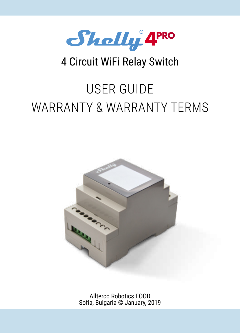

# 4 Circuit WiFi Relay Switch

# USER GUIDE WARRANTY & WARRANTY TERMS



Allterco Robotics EOOD Sofia, Bulgaria © January, 2019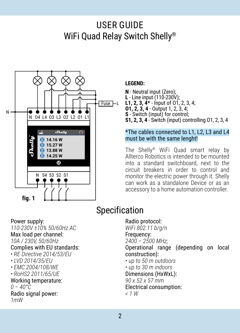# USER GUIDE WiFi Quad Relay Switch Shelly®



#### **LEGEND:**

**N** - Neutral input (Zero); **L** - Line input (110-230V); **L1, 2, 3, 4\*** - Input of O1, 2, 3, 4; **O1, 2, 3, 4** - Output 1, 2, 3, 4; **S** - Switch (input) for control; **S1, 2, 3, 4** - Switch (input) controlling O1, 2, 3, 4

#### \*The cables connected to L1, L2, L3 and L4 must be with the same lenght!

The Shelly® WiFi Quad smart relay by Allterco Robotics is intended to be mounted into a standard switchboard, next to the circuit breakers in order to control and monitor the electric power through it. Shelly can work as a standalone Device or as an accessory to a home automation controller.

# Specification

Power supply:

*110-230V ±10% 50/60Hz AC* Max load per channel: *10A / 230V, 50/60Hz* Complies with EU standards: *• RE Directive 2014/53/EU • LVD 2014/35/EU • EMC 2004/108/WE • RoHS2 2011/65/UE* Working temperature: *0 – 40°C* Radio signal power: *1mW*

### Radio protocol:

*WiFi 802.11 b/g/n* Frequency: *2400 – 2500 MHz;*

Operational range (depending on local construction):

*• up to 50 m outdoors*

*• up to 30 m indoors* Dimensions (HxWxL): *90 x 52 x 57 mm* Electrical consumption:

*< 1 W*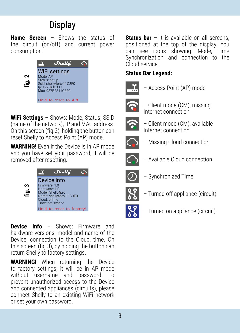# **Display**

**Home Screen** – Shows the status of the circuit (on/off) and current power consumption.



**WiFi Settings** – Shows: Mode, Status, SSID (name of the network), IP and MAC address. On this screen (fig.2), holding the button can reset Shelly to Access Point (AP) mode.

**WARNING!** Even if the Device is in AP mode and you have set your password, it will be removed after resetting.



**Device Info** – Shows: Firmware and hardware versions, model and name of the Device, connection to the Cloud, time. On this screen (fig.3), by holding the button can return Shelly to factory settings.

**WARNING!** When returning the Device to factory settings, it will be in AP mode without username and password. To prevent unauthorized access to the Device and connected appliances (circuits), please connect Shelly to an existing WiFi network or set your own password.

**Status bar** – It is available on all screens. positioned at the top of the display. You can see icons showing: Mode, Time Synchronization and connection to the Cloud service.

## **Status Bar Legend:**



– Access Point (AP) mode



– Client mode (CM), missing Internet connection



– Client mode (CM), available Internet connection



– Missing Cloud connection



– Available Cloud connection



– Synchronized Time



– Turned off appliance (circuit)



– Turned on appliance (circuit)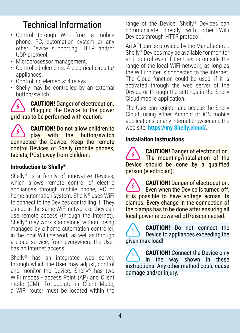# Technical Information

- Control through WiFi from a mobile phone, PC, automation system or any other Device supporting HTTP and/or UDP protocol.
- Microprocessor management.
- Controlled elements: 4 electrical circuits/ appliances
- Controlling elements: 4 relays.
- Shelly may be controlled by an external button/switch.

**CAUTION!** Danger of electrocution. **Plugging the Device to the power** grid has to be performed with caution.

**CAUTION!** Do not allow children to<br>play with the button/switch play with the connected the Device. Keep the remote control Devices of Shelly (mobile phones, tablets, PCs) away from children.

## **Introduction to Shelly®**

Shelly® is a family of innovative Devices, which allows remote control of electric appliances through mobile phone, PC or home automation system. Shelly® uses WiFi to connect to the Devices controlling it. They can be in the same WiFi network or they can use remote access (through the Internet). Shelly® may work standalone, without being managed by a home automation controller. in the local WiFi network, as well as through a cloud service, from everywhere the User has an Internet access.

Shelly<sup>®</sup> has an integrated web server, through which the User may adjust, control and monitor the Device. Shelly® has two WiFi modes - access Point (AP) and Client mode (CM). To operate in Client Mode, a WiFi router must be located within the range of the Device. Shelly® Devices can communicate directly with other WiFi Devices through HTTP protocol.

An API can be provided by the Manufacturer. Shelly® Devices may be available for monitor and control even if the User is outside the range of the local WiFi network, as long as the WiFi router is connected to the Internet. The Cloud function could be used, if it is activated through the web server of the Device or through the settings in the Shelly Cloud mobile application.

The User can register and access the Shelly Cloud, using either Android or iOS mobile applications, or any internet browser and the web site: **https://my.Shelly.cloud/**.

# **Installation Instructions**

**CAUTION!** Danger of electrocution. The mounting/installation of the Device should be done by a qualified person (electrician).

**CAUTION!** Danger of electrocution. Even when the Device is turned off it is possible to have voltage across its clamps. Every change in the connection of the clamps has to be done after ensuring all local power is powered off/disconnected.

**CAUTION!** Do not connect the Device to appliances exceeding the given max load!

**CAUTION!** Connect the Device only in the way shown in these instructions. Any other method could cause damage and/or injury.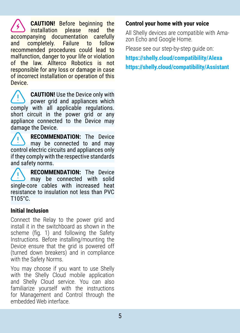**CAUTION!** Before beginning the installation please read the accompanying documentation carefully and completely. Failure to recommended procedures could lead to malfunction, danger to your life or violation of the law. Allterco Robotics is not responsible for any loss or damage in case of incorrect installation or operation of this **Device** 

**CAUTION!** Use the Device only with power grid and appliances which comply with all applicable regulations. short circuit in the nower grid or any appliance connected to the Device may damage the Device.

**RECOMMENDATION:** Тhe Device may be connected to and may control electric circuits and appliances only if they comply with the respective standards and safety norms.

**RECOMMENDATION:** The Device may be connected with solid single-core cables with increased heat resistance to insulation not less than PVC T105°C.

#### **Initial Inclusion**

Connect the Relay to the power grid and install it in the switchboard as shown in the scheme (fig. 1) and following the Safety Instructions. Before installing/mounting the Device ensure that the grid is powered off (turned down breakers) and in compliance with the Safety Norms.

You may choose if you want to use Shelly with the Shelly Cloud mobile application and Shelly Cloud service. You can also familiarize yourself with the instructions for Management and Control through the embedded Web interface.

#### **Control your home with your voice**

All Shelly devices are compatible with Amazon Echo and Google Home.

Please see our step-by-step guide on:

**https://shelly.cloud/compatibility/Alexa https://shelly.cloud/compatibility/Assistant**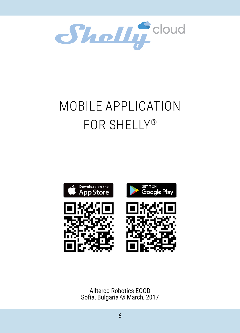

# MOBILE APPLICATION FOR SHELLY®



Allterco Robotics EOOD Sofia, Bulgaria © March, 2017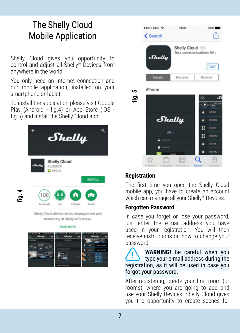# The Shelly Cloud Mobile Application

Shelly Cloud gives you opportunity to control and adjust all Shelly® Devices from anywhere in the world.

You only need an Internet connection and our mobile application, installed on your smartphone or tablet.

To install the application please visit Google Play (Android - fig.4) or App Store (iOS fig.5) and install the Shelly Cloud app.







### **Registration**

The first time you open the Shelly Cloud mobile app, you have to create an account which can manage all your Shelly® Devices.

#### **Forgotten Password**

In case you forget or lose your password, just enter the e-mail address vou have used in your registration. You will then receive instructions on how to change your password.

**WARNING!** Be careful when you type your e-mail address during the registration, as it will be used in case you forgot your password.

After registering, create your first room (or rooms), where you are going to add and use your Shelly Devices. Shelly Cloud gives you the opportunity to create scenes for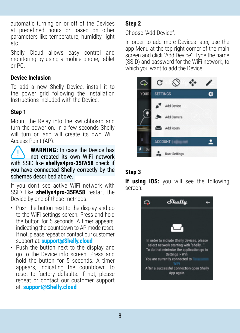automatic turning on or off of the Devices at predefined hours or based on other parameters like temperature, humidity, light etc.

Shelly Cloud allows easy control and monitoring by using a mobile phone, tablet or PC.

#### **Device Inclusion**

To add a new Shelly Device, install it to the power grid following the Installation Instructions included with the Device.

# **Step 1**

Mount the Relay into the switchboard and turn the power on. In a few seconds Shelly will turn on and will create its own WiFi Access Point (AP).

**WARNING:** In case the Device has not created its own WiFi network with SSID like **shellys4pro-35FA58** check if you have connected Shelly correctly by the schemes described above.

If you don't see active WiFi network with SSID like **shellys4pro-35FA58** restart the Device by one of these methods:

- Push the button next to the display and go to the WiFi settings screen. Press and hold the button for 5 seconds. A timer appears, indicating the countdown to AP mode reset. If not, please repeat or contact our customer support at: **support@Shelly.cloud**
- Push the button next to the display and go to the Device info screen. Press and hold the button for 5 seconds. A timer appears, indicating the countdown to reset to factory defaults. If not, please repeat or contact our customer support at: **support@Shelly.cloud**

## **Step 2**

Choose "Add Device".

In order to add more Devices later, use the app Menu at the top right corner of the main screen and click "Add Device". Type the name (SSID) and password for the WiFi network, to which you want to add the Device.



# **Step 3**

**If using iOS:** you will see the following screen:

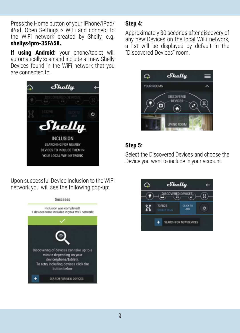Press the Home button of your iPhone/iPad/ iPod. Open Settings > WiFi and connect to the WiFi network created by Shelly, e.g. **shellys4pro-35FA58.**

**If using Android:** your phone/tablet will automatically scan and include all new Shelly Devices found in the WiFi network that you are connected to.



Upon successful Device Inclusion to the WiFi network you will see the following pop-up:



#### **Step 4:**

Approximately 30 seconds after discovery of any new Devices оn the local WiFi network, а list will be displayed by default in the "Discovered Devices" room.



### **Step 5:**

Select the Discovered Devices and choose the Device you want to include in your account.

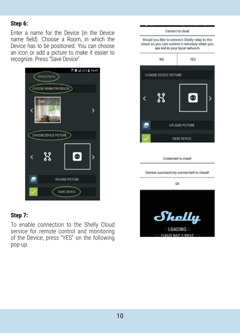#### **Step 6:**

Enter a name for the Device (in the Device name field). Choose a Room, in which the Device has to be positioned. You can choose an icon or add a picture to make it easier to recognize. Press "Save Device".





To enable connection to the Shelly Cloud service for remote control and monitoring of the Device, press "YES" on the following pop-up.

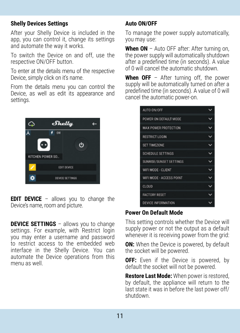#### **Shelly Devices Settings**

After your Shelly Device is included in the app, you can control it, change its settings and automate the way it works.

To switch the Device on and off, use the respective ON/OFF button.

To enter at the details menu of the respective Device, simply click on it's name.

From the details menu you can control the Device, as well as edit its appearance and settings.



**EDIT DEVICE** – allows you to change the Device's name, room and picture.

**DEVICE SETTINGS** - allows you to change settings. For example, with Restrict login you may enter a username and password to restrict access to the embedded web interface in the Shelly Device. You can automate the Device operations from this menu as well.

## **Auto ON/OFF**

Тo manage the power supply automatically, you may use:

When ON - Auto OFF after: After turning on. the power supply will automatically shutdown after a predefined time (in seconds). A value of 0 will cancel the automatic shutdown.

**When OFF** – After turning off, the power supply will be automatically turned on after a predefined time (in seconds). A value of 0 will cancel the automatic power-on.

| AUTO ON/OFF              |  |
|--------------------------|--|
| POWER ON DEFALLT MODE    |  |
| MAX POWER PROTECTION     |  |
| RESTRICT LOGIN           |  |
| SET TIMEZONE             |  |
| SCHEDULE SETTINGS        |  |
| SUNRISE/SUNSET SETTINGS  |  |
| WIFI MODE - CLIENT       |  |
| WIFI MODE - ACCESS POINT |  |
| CLOUD                    |  |
| <b>FACTORY RESET</b>     |  |
| DEVICE INFORMATION       |  |

## **Power On Default Mode**

Тhis setting controls whether the Device will supply power or not the output as a default whenever it is receiving power from the grid:

**ON:** When the Device is powered, by default the socket will be powered.

**OFF:** Even if the Device is powered, by default the socket will not be powered.

**Restore Last Mode:** When power is restored, by default, the appliance will return to the last state it was in before the last power off/ shutdown.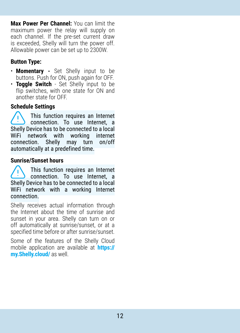**Max Power Per Channel:** You can limit the maximum power the relay will supply on each channel. If the pre-set current draw is exceeded, Shelly will turn the power off. Allowable power can be set up to 2300W.

# **Button Type:**

- **Momentary -** Set Shelly input to be buttons. Push for ON, push again for OFF.
- **Toggle Switch** Set Shelly input to be flip switches, with one state for ON and another state for OFF.

# **Schedule Settings**

This function requires an Internet connection. To use Internet, a Shelly Device has to be connected to a local WiFi network with working internet connection. Shelly may turn on/off automatically at a predefined time.

#### **Sunrise/Sunset hours**

This function requires an Internet connection. To use Internet, a Shelly Device has to be connected to a local WiFi network with а working Internet connection.

Shelly receives actual information through the Internet about the time of sunrise and sunset in your area. Shelly can turn on or off automatically at sunrise/sunset, or at a specified time before or after sunrise/sunset.

Some of the features of the Shelly Cloud mobile application are available at **https:// my.Shelly.cloud/** as well.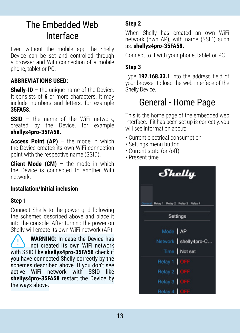# The Embedded Web Interface

Еven without the mobile app the Shelly Device can be set and controlled through a browser and WiFi connection of a mobile phone, tablet or PC.

#### **ABBREVIATIONS USED:**

**Shelly-ID** – the unique name of the Device. It consists of **6** or more characters. It may include numbers and letters, for example **35FA58.**

**SSID** – the name of the WiFi network created by the Device, for example **shellys4pro-35FA58.**

**Access Point (AP)** – the mode in which the Device creates its own WiFi connection point with the respective name (SSID).

**Client Mode (CM)** – the mode in which the Device is connected to another WiFi network.

#### **Installation/Initial inclusion**

### **Step 1**

Connect Shelly to the power grid following the schemes described above and place it into the console. After turning the power on Shelly will create its own WiFi network (AP).

**WARNING:** In case the Device has not created its own WiFi network with SSID like **shellys4pro-35FA58** check if you have connected Shelly correctly by the schemes described above. If you don't see active WiFi network with SSID like **shellys4pro-35FA58** restart the Device by the ways above.

### **Step 2**

When Shelly has created an own WiFi network (own AP), with name (SSID) such as: **shellys4pro-35FA58.**

Connect to it with your phone, tablet or PC.

## **Step 3**

Type **192.168.33.1** into the address field of your browser to load the web interface of the Shelly Device.

# General - Home Page

This is the home page of the embedded web interface. If it has been set up is correctly, you will see information about:

- Current electrical consumption
- Settings menu button
- Current state (on/off)
- Present time

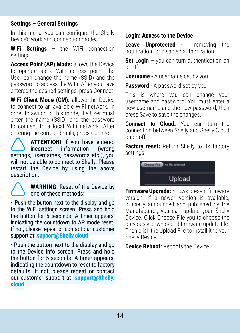#### **Settings – General Settings**

In this menu, you can configure the Shelly Device's work and connection modes.

**WiFi Settings** – the WiFi connection settings.

**Access Point (AP) Mode:** allows the Device to operate as a WiFi access point. the User can change the name (SSID) and the password to access the WiFi. After you have entered the desired settings, press Connect.

**WiFi Client Mode (CM):** allows the Device to connect to an available WiFi network. in order to switch to this mode, the User must enter the name (SSID) and the password to connect to a local WiFi network. After entering the correct details, press Connect.

**ATTENTION!** If you have entered<br>incorrect information (wrong) information settings, usernames, passwords etc.), you will not be able to connect to Shelly. Please restart the Device by using the above description.



**WARNING**: Reset of the Device by one of these methods:

• Push the button next to the display and go to the WiFi settings screen. Press and hold the button for 5 seconds. A timer appears, indicating the countdown to AP mode reset. If not, please repeat or contact our customer support at: **support@Shelly.cloud**

• Push the button next to the display and go to the Device info screen. Press and hold the button for 5 seconds. A timer appears, indicating the countdown to reset to factory defaults. If not, please repeat or contact our customer support at: **support@Shelly. cloud**

## **Login: Access to the Device**

**Leave Unprotected** - removing the notification for disabled authorization.

**Set Login** – you can turn authentication on or off

**Username** - A username set by you

**Password** - A password set by you

This is where you can change your username and password. You must enter a new username and the new password, then press Save to save the changes.

**Connect to Cloud:** You can turn the connection between Shelly and Shelly Cloud on or off.

**Factory reset:** Return Shelly to its factory settings.

> Choose File no file selected Upload

**Firmware Upgrade:** Shows present firmware version. If a newer version is available, officially announced and published by the Manufacturer, you can update your Shelly Device. Click Choose File you to choose the previously downloaded firmware update file. Then click the Upload File to install it to your Shelly Device.

**Device Reboot:** Reboots the Device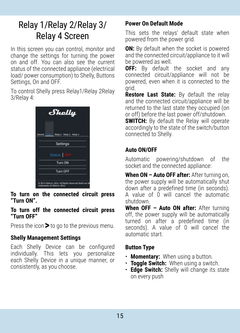# Relay 1/Relay 2/Relay 3/ Relay 4 Screen

In this screen you can control, monitor and change the settings for turning the power on and off. You can also see the current status of the connected appliance (electrical load/ power consumption) to Shelly. Buttons Settings, On and OFF.

To control Shelly press Relay1/Relay 2Relay 3/Relay 4:



**To turn on the connected circuit press "Turn ON".**

#### **To turn off the connected circuit press "Turn OFF"**

Press the icon  $\triangleright$  to go to the previous menu.

## **Shelly Management Settings**

Each Shelly Device can be configured individually. This lets you personalize each Shelly Device in a unique manner, or consistently, as you choose.

## **Power On Default Mode**

This sets the relays' default state when powered from the power grid.

**ON:** By default when the socket is powered and the connected circuit/appliance to it will be powered as well.

**OFF:** By default the socket and any connected circuit/appliance will not be powered, even when it is connected to the grid.

**Restore Last State:** By default the relay and the connected circuit/appliance will be returned to the last state they occupied (on or off) before the last power off/shutdown.

**SWITCH:** By default the Relay will operate accordingly to the state of the switch/button connected to Shelly.

#### **Auto ON/OFF**

Automatic powering/shutdown of the socket and the connected appliance:

When ON - Auto OFF after: After turning on, the power supply will be automatically shut down after a predefined time (in seconds). A value of 0 will cancel the automatic shutdown.

**When OFF – Auto ON after:** After turning off, the power supply will be automatically turned on after a predefined time (in seconds). A value of 0 will cancel the automatic start.

# **Button Type**

- **Momentary:** When using a button.
- **Toggle Switch:** When using a switch.
- **Edge Switch:** Shelly will change its state on every push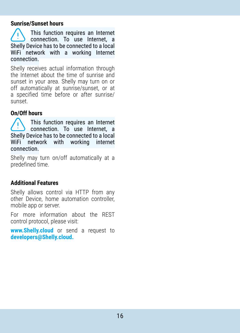#### **Sunrise/Sunset hours**

This function requires an Internet connection. To use Internet, a Shelly Device has to be connected to a local WiFi network with a working Internet connection.

Shelly receives actual information through the Internet about the time of sunrise and sunset in your area. Shelly may turn on or off automatically at sunrise/sunset, or at a specified time before or after sunrise/ sunset.

#### **On/Off hours**

This function requires an Internet connection. To use Internet, a Shelly Device has to be connected to a local WiFi network with working internet connection.

Shelly may turn on/off automatically at a predefined time.

#### **Additional Features**

Shelly allows control via HTTP from any other Device, home automation controller, mobile app or server.

For more information about the REST control protocol, please visit:

**www.Shelly.cloud** or send a request to **developers@Shelly.cloud.**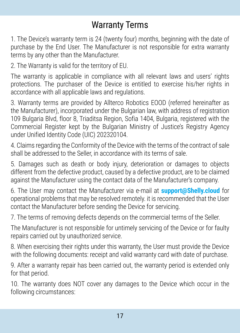# Warranty Terms

1. The Device's warranty term is 24 (twenty four) months, beginning with the date of purchase by the End User. The Manufacturer is not responsible for extra warranty terms by any other than the Manufacturer.

2. The Warranty is valid for the territory of EU.

The warranty is applicable in compliance with all relevant laws and users' rights protections. The purchaser of the Device is entitled to exercise his/her rights in accordance with all applicable laws and regulations.

3. Warranty terms are provided by Allterco Robotics EOOD (referred hereinafter as the Manufacturer), incorporated under the Bulgarian law, with address of registration 109 Bulgaria Blvd, floor 8, Triaditsa Region, Sofia 1404, Bulgaria, registered with the Commercial Register kept by the Bulgarian Ministry of Justice's Registry Agency under Unified Identity Code (UIC) 202320104.

4. Claims regarding the Conformity of the Device with the terms of the contract of sale shall be addressed to the Seller, in accordance with its terms of sale.

5. Damages such as death or body injury, deterioration or damages to objects different from the defective product, caused by a defective product, are to be claimed against the Manufacturer using the contact data of the Manufacturer's company.

6. The User may contact the Manufacturer via e-mail at **support@Shelly.cloud** for operational problems that may be resolved remotely. it is recommended that the User contact the Manufacturer before sending the Device for servicing.

7. The terms of removing defects depends on the commercial terms of the Seller.

The Manufacturer is not responsible for untimely servicing of the Device or for faulty repairs carried out by unauthorized service.

8. When exercising their rights under this warranty, the User must provide the Device with the following documents: receipt and valid warranty card with date of purchase.

9. After a warranty repair has been carried out, the warranty period is extended only for that period.

10. The warranty does NOT cover any damages to the Device which occur in the following circumstances: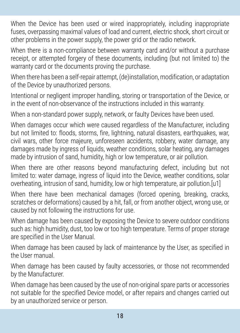When the Device has been used or wired inappropriately, including inappropriate fuses, overpassing maximal values of load and current, electric shock, short circuit or other problems in the power supply, the power grid or the radio network.

When there is a non-compliance between warranty card and/or without a purchase receipt, or attempted forgery of these documents, including (but not limited to) the warranty card or the documents proving the purchase.

When there has been a self-repair attempt, (de)installation, modification, or adaptation of the Device by unauthorized persons.

Intentional or negligent improper handling, storing or transportation of the Device, or in the event of non-observance of the instructions included in this warranty.

When a non-standard power supply, network, or faulty Devices have been used.

When damages occur which were caused regardless of the Manufacturer, including but not limited to: floods, storms, fire, lightning, natural disasters, earthquakes, war, civil wars, other force majeure, unforeseen accidents, robbery, water damage, any damages made by ingress of liquids, weather conditions, solar heating, any damages made by intrusion of sand, humidity, high or low temperature, or air pollution.

When there are other reasons beyond manufacturing defect, including but not limited to: water damage, ingress of liquid into the Device, weather conditions, solar overheating, intrusion of sand, humidity, low or high temperature, air pollution.[u1]

When there have been mechanical damages (forced opening, breaking, cracks, scratches or deformations) caused by a hit, fall, or from another object, wrong use, or caused by not following the instructions for use.

When damage has been caused by exposing the Device to severe outdoor conditions such as: high humidity, dust, too low or too high temperature. Terms of proper storage are specified in the User Manual.

When damage has been caused by lack of maintenance by the User, as specified in the User manual.

When damage has been caused by faulty accessories, or those not recommended by the Manufacturer.

When damage has been caused by the use of non-original spare parts or accessories not suitable for the specified Device model, or after repairs and changes carried out by an unauthorized service or person.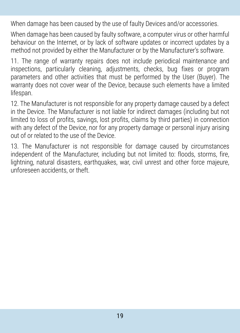When damage has been caused by the use of faulty Devices and/or accessories.

When damage has been caused by faulty software, a computer virus or other harmful behaviour on the Internet, or by lack of software updates or incorrect updates by a method not provided by either the Manufacturer or by the Manufacturer's software.

11. The range of warranty repairs does not include periodical maintenance and inspections, particularly cleaning, adjustments, checks, bug fixes or program parameters and other activities that must be performed by the User (Buyer). The warranty does not cover wear of the Device, because such elements have a limited lifespan.

12. The Manufacturer is not responsible for any property damage caused by a defect in the Device. The Manufacturer is not liable for indirect damages (including but not limited to loss of profits, savings, lost profits, claims by third parties) in connection with any defect of the Device, nor for any property damage or personal injury arising out of or related to the use of the Device.

13. The Manufacturer is not responsible for damage caused by circumstances independent of the Manufacturer, including but not limited to: floods, storms, fire, lightning, natural disasters, earthquakes, war, civil unrest and other force majeure, unforeseen accidents, or theft.